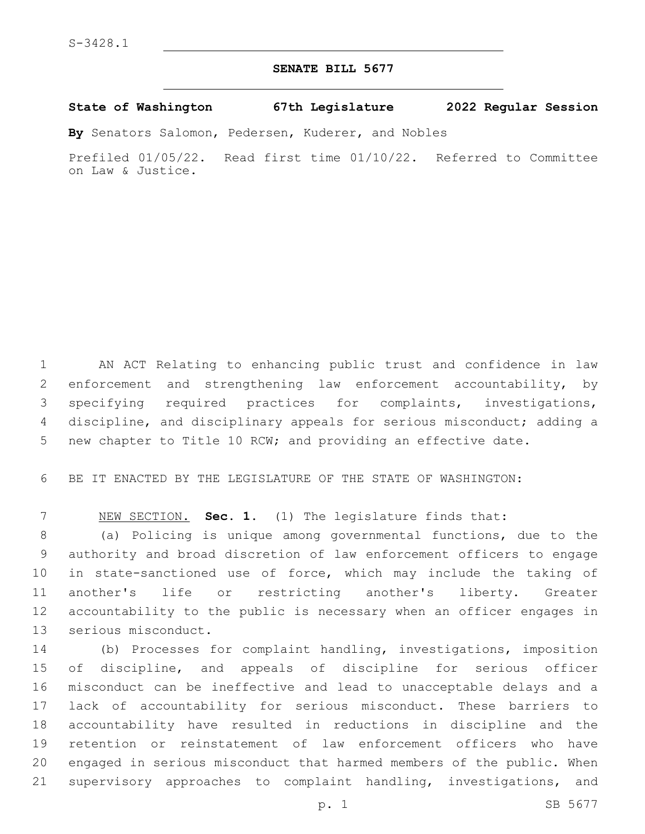## **SENATE BILL 5677**

## **State of Washington 67th Legislature 2022 Regular Session**

**By** Senators Salomon, Pedersen, Kuderer, and Nobles

Prefiled 01/05/22. Read first time 01/10/22. Referred to Committee on Law & Justice.

 AN ACT Relating to enhancing public trust and confidence in law enforcement and strengthening law enforcement accountability, by specifying required practices for complaints, investigations, discipline, and disciplinary appeals for serious misconduct; adding a new chapter to Title 10 RCW; and providing an effective date.

BE IT ENACTED BY THE LEGISLATURE OF THE STATE OF WASHINGTON:

NEW SECTION. **Sec. 1.** (1) The legislature finds that:

 (a) Policing is unique among governmental functions, due to the authority and broad discretion of law enforcement officers to engage in state-sanctioned use of force, which may include the taking of another's life or restricting another's liberty. Greater accountability to the public is necessary when an officer engages in 13 serious misconduct.

 (b) Processes for complaint handling, investigations, imposition of discipline, and appeals of discipline for serious officer misconduct can be ineffective and lead to unacceptable delays and a lack of accountability for serious misconduct. These barriers to accountability have resulted in reductions in discipline and the retention or reinstatement of law enforcement officers who have engaged in serious misconduct that harmed members of the public. When supervisory approaches to complaint handling, investigations, and

p. 1 SB 5677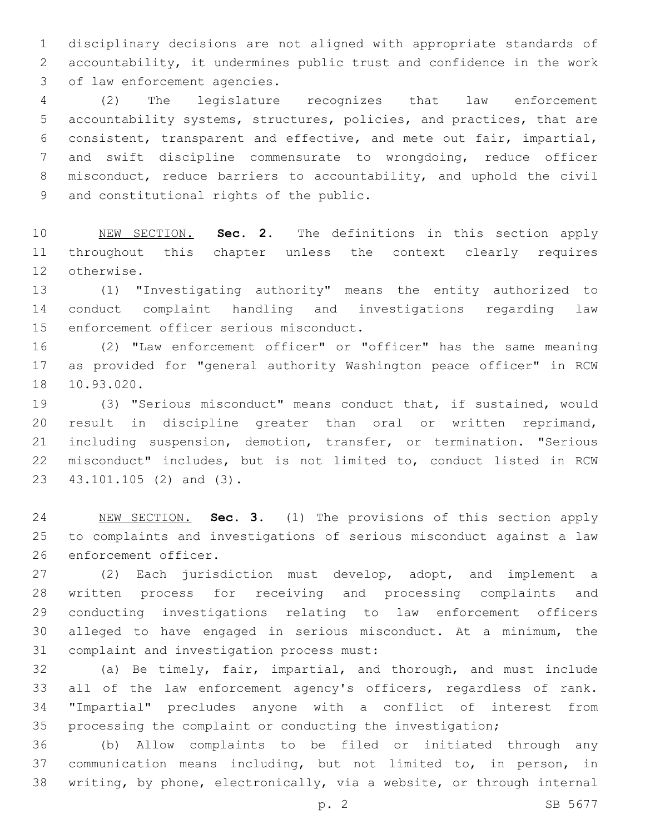disciplinary decisions are not aligned with appropriate standards of accountability, it undermines public trust and confidence in the work 3 of law enforcement agencies.

 (2) The legislature recognizes that law enforcement accountability systems, structures, policies, and practices, that are consistent, transparent and effective, and mete out fair, impartial, and swift discipline commensurate to wrongdoing, reduce officer 8 misconduct, reduce barriers to accountability, and uphold the civil 9 and constitutional rights of the public.

 NEW SECTION. **Sec. 2.** The definitions in this section apply throughout this chapter unless the context clearly requires otherwise.

 (1) "Investigating authority" means the entity authorized to conduct complaint handling and investigations regarding law 15 enforcement officer serious misconduct.

 (2) "Law enforcement officer" or "officer" has the same meaning as provided for "general authority Washington peace officer" in RCW 18 10.93.020.

 (3) "Serious misconduct" means conduct that, if sustained, would result in discipline greater than oral or written reprimand, including suspension, demotion, transfer, or termination. "Serious misconduct" includes, but is not limited to, conduct listed in RCW 23 43.101.105 (2) and (3).

 NEW SECTION. **Sec. 3.** (1) The provisions of this section apply to complaints and investigations of serious misconduct against a law enforcement officer.

 (2) Each jurisdiction must develop, adopt, and implement a written process for receiving and processing complaints and conducting investigations relating to law enforcement officers alleged to have engaged in serious misconduct. At a minimum, the 31 complaint and investigation process must:

 (a) Be timely, fair, impartial, and thorough, and must include all of the law enforcement agency's officers, regardless of rank. "Impartial" precludes anyone with a conflict of interest from processing the complaint or conducting the investigation;

 (b) Allow complaints to be filed or initiated through any communication means including, but not limited to, in person, in writing, by phone, electronically, via a website, or through internal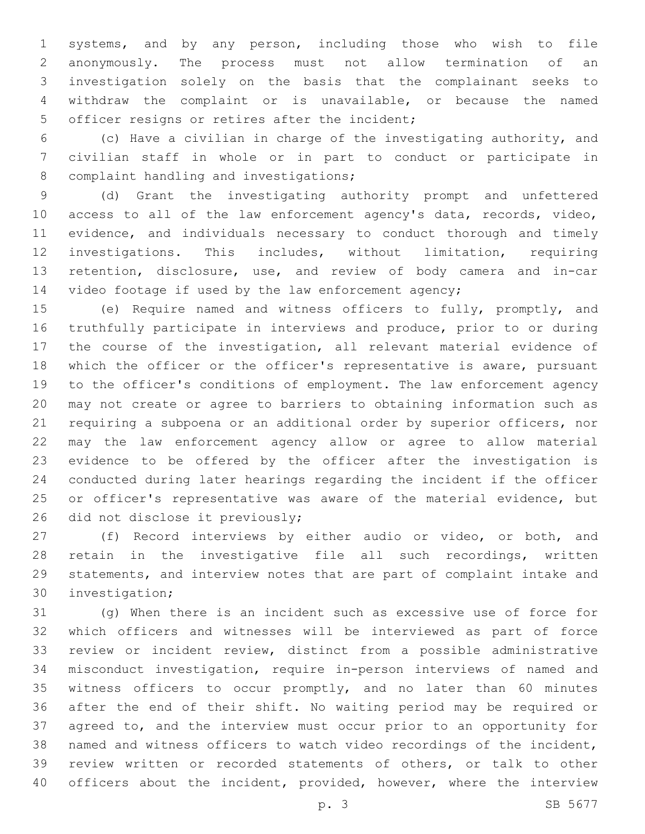systems, and by any person, including those who wish to file anonymously. The process must not allow termination of an investigation solely on the basis that the complainant seeks to withdraw the complaint or is unavailable, or because the named 5 officer resigns or retires after the incident;

 (c) Have a civilian in charge of the investigating authority, and civilian staff in whole or in part to conduct or participate in 8 complaint handling and investigations;

 (d) Grant the investigating authority prompt and unfettered access to all of the law enforcement agency's data, records, video, evidence, and individuals necessary to conduct thorough and timely investigations. This includes, without limitation, requiring retention, disclosure, use, and review of body camera and in-car video footage if used by the law enforcement agency;

 (e) Require named and witness officers to fully, promptly, and truthfully participate in interviews and produce, prior to or during the course of the investigation, all relevant material evidence of which the officer or the officer's representative is aware, pursuant to the officer's conditions of employment. The law enforcement agency may not create or agree to barriers to obtaining information such as requiring a subpoena or an additional order by superior officers, nor may the law enforcement agency allow or agree to allow material evidence to be offered by the officer after the investigation is conducted during later hearings regarding the incident if the officer or officer's representative was aware of the material evidence, but 26 did not disclose it previously;

 (f) Record interviews by either audio or video, or both, and retain in the investigative file all such recordings, written statements, and interview notes that are part of complaint intake and 30 investigation;

 (g) When there is an incident such as excessive use of force for which officers and witnesses will be interviewed as part of force review or incident review, distinct from a possible administrative misconduct investigation, require in-person interviews of named and witness officers to occur promptly, and no later than 60 minutes after the end of their shift. No waiting period may be required or agreed to, and the interview must occur prior to an opportunity for named and witness officers to watch video recordings of the incident, review written or recorded statements of others, or talk to other 40 officers about the incident, provided, however, where the interview

p. 3 SB 5677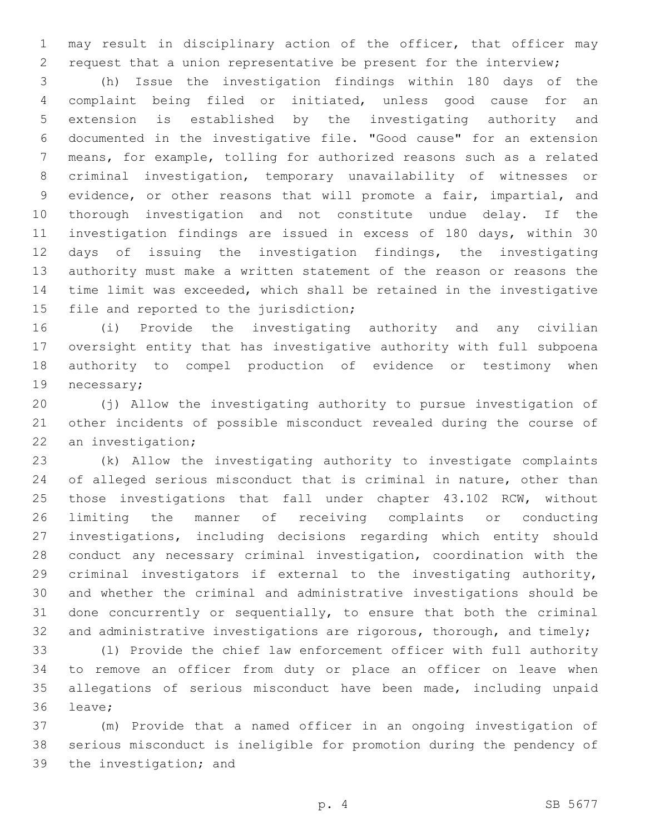may result in disciplinary action of the officer, that officer may request that a union representative be present for the interview;

 (h) Issue the investigation findings within 180 days of the complaint being filed or initiated, unless good cause for an extension is established by the investigating authority and documented in the investigative file. "Good cause" for an extension means, for example, tolling for authorized reasons such as a related criminal investigation, temporary unavailability of witnesses or evidence, or other reasons that will promote a fair, impartial, and thorough investigation and not constitute undue delay. If the investigation findings are issued in excess of 180 days, within 30 days of issuing the investigation findings, the investigating authority must make a written statement of the reason or reasons the time limit was exceeded, which shall be retained in the investigative 15 file and reported to the jurisdiction;

 (i) Provide the investigating authority and any civilian oversight entity that has investigative authority with full subpoena authority to compel production of evidence or testimony when 19 necessary;

 (j) Allow the investigating authority to pursue investigation of other incidents of possible misconduct revealed during the course of 22 an investigation;

 (k) Allow the investigating authority to investigate complaints of alleged serious misconduct that is criminal in nature, other than those investigations that fall under chapter 43.102 RCW, without limiting the manner of receiving complaints or conducting investigations, including decisions regarding which entity should conduct any necessary criminal investigation, coordination with the criminal investigators if external to the investigating authority, and whether the criminal and administrative investigations should be done concurrently or sequentially, to ensure that both the criminal 32 and administrative investigations are rigorous, thorough, and timely;

 (l) Provide the chief law enforcement officer with full authority to remove an officer from duty or place an officer on leave when allegations of serious misconduct have been made, including unpaid 36 leave;

 (m) Provide that a named officer in an ongoing investigation of serious misconduct is ineligible for promotion during the pendency of 39 the investigation; and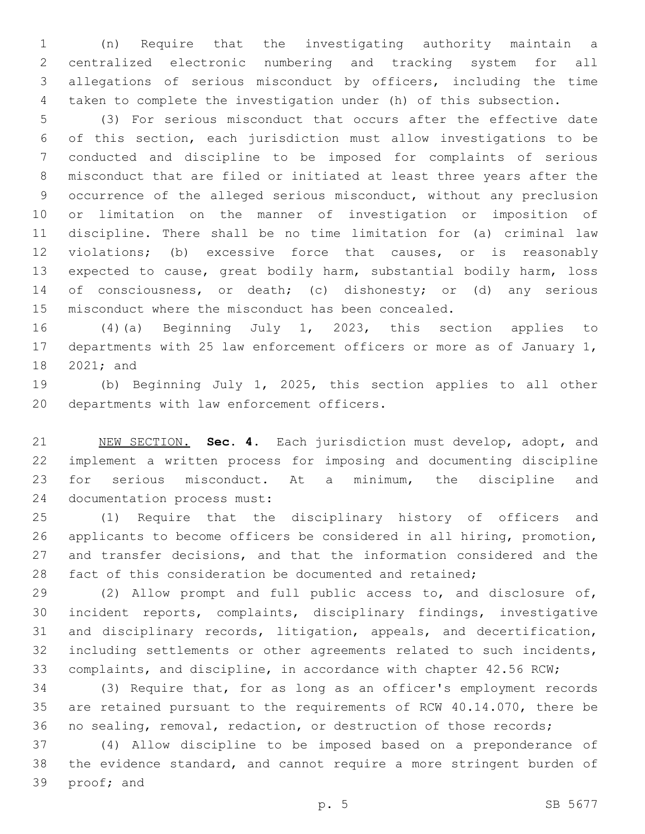(n) Require that the investigating authority maintain a centralized electronic numbering and tracking system for all allegations of serious misconduct by officers, including the time taken to complete the investigation under (h) of this subsection.

 (3) For serious misconduct that occurs after the effective date of this section, each jurisdiction must allow investigations to be conducted and discipline to be imposed for complaints of serious misconduct that are filed or initiated at least three years after the occurrence of the alleged serious misconduct, without any preclusion or limitation on the manner of investigation or imposition of discipline. There shall be no time limitation for (a) criminal law violations; (b) excessive force that causes, or is reasonably expected to cause, great bodily harm, substantial bodily harm, loss of consciousness, or death; (c) dishonesty; or (d) any serious misconduct where the misconduct has been concealed.

 (4)(a) Beginning July 1, 2023, this section applies to departments with 25 law enforcement officers or more as of January 1, 18 2021; and

 (b) Beginning July 1, 2025, this section applies to all other 20 departments with law enforcement officers.

 NEW SECTION. **Sec. 4.** Each jurisdiction must develop, adopt, and implement a written process for imposing and documenting discipline for serious misconduct. At a minimum, the discipline and documentation process must:

 (1) Require that the disciplinary history of officers and applicants to become officers be considered in all hiring, promotion, and transfer decisions, and that the information considered and the fact of this consideration be documented and retained;

 (2) Allow prompt and full public access to, and disclosure of, incident reports, complaints, disciplinary findings, investigative and disciplinary records, litigation, appeals, and decertification, including settlements or other agreements related to such incidents, complaints, and discipline, in accordance with chapter 42.56 RCW;

 (3) Require that, for as long as an officer's employment records are retained pursuant to the requirements of RCW 40.14.070, there be no sealing, removal, redaction, or destruction of those records;

 (4) Allow discipline to be imposed based on a preponderance of the evidence standard, and cannot require a more stringent burden of 39 proof; and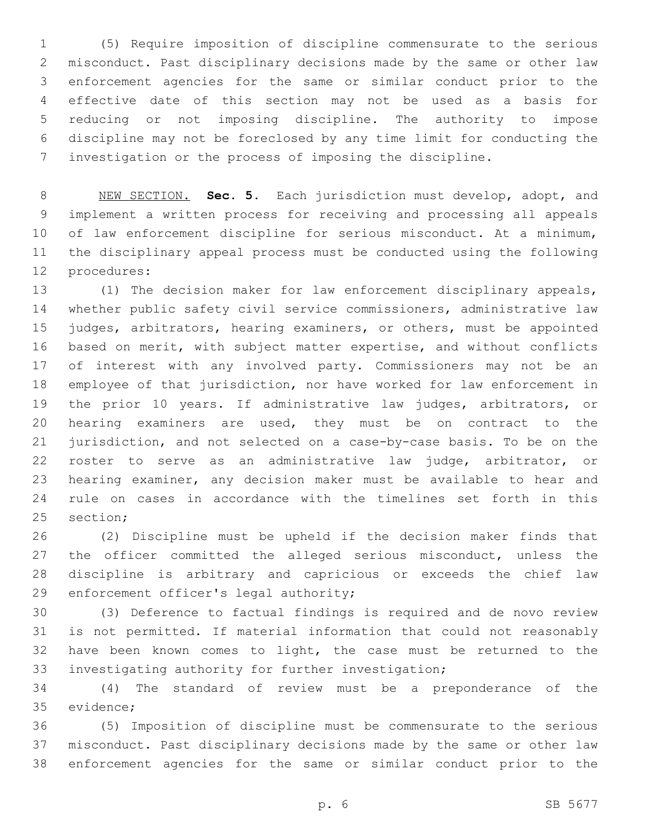(5) Require imposition of discipline commensurate to the serious misconduct. Past disciplinary decisions made by the same or other law enforcement agencies for the same or similar conduct prior to the effective date of this section may not be used as a basis for reducing or not imposing discipline. The authority to impose discipline may not be foreclosed by any time limit for conducting the investigation or the process of imposing the discipline.

 NEW SECTION. **Sec. 5.** Each jurisdiction must develop, adopt, and implement a written process for receiving and processing all appeals of law enforcement discipline for serious misconduct. At a minimum, the disciplinary appeal process must be conducted using the following procedures:

 (1) The decision maker for law enforcement disciplinary appeals, whether public safety civil service commissioners, administrative law judges, arbitrators, hearing examiners, or others, must be appointed based on merit, with subject matter expertise, and without conflicts of interest with any involved party. Commissioners may not be an employee of that jurisdiction, nor have worked for law enforcement in the prior 10 years. If administrative law judges, arbitrators, or hearing examiners are used, they must be on contract to the jurisdiction, and not selected on a case-by-case basis. To be on the roster to serve as an administrative law judge, arbitrator, or hearing examiner, any decision maker must be available to hear and rule on cases in accordance with the timelines set forth in this 25 section:

 (2) Discipline must be upheld if the decision maker finds that 27 the officer committed the alleged serious misconduct, unless the discipline is arbitrary and capricious or exceeds the chief law 29 enforcement officer's legal authority;

 (3) Deference to factual findings is required and de novo review is not permitted. If material information that could not reasonably have been known comes to light, the case must be returned to the investigating authority for further investigation;

 (4) The standard of review must be a preponderance of the 35 evidence;

 (5) Imposition of discipline must be commensurate to the serious misconduct. Past disciplinary decisions made by the same or other law enforcement agencies for the same or similar conduct prior to the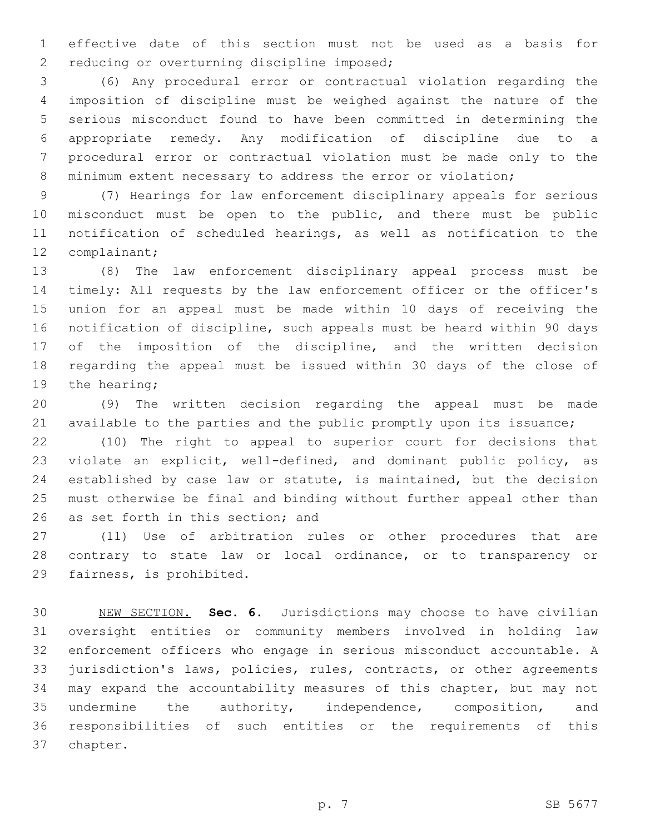effective date of this section must not be used as a basis for 2 reducing or overturning discipline imposed;

 (6) Any procedural error or contractual violation regarding the imposition of discipline must be weighed against the nature of the serious misconduct found to have been committed in determining the appropriate remedy. Any modification of discipline due to a procedural error or contractual violation must be made only to the 8 minimum extent necessary to address the error or violation;

 (7) Hearings for law enforcement disciplinary appeals for serious misconduct must be open to the public, and there must be public notification of scheduled hearings, as well as notification to the 12 complainant;

 (8) The law enforcement disciplinary appeal process must be timely: All requests by the law enforcement officer or the officer's union for an appeal must be made within 10 days of receiving the notification of discipline, such appeals must be heard within 90 days of the imposition of the discipline, and the written decision regarding the appeal must be issued within 30 days of the close of 19 the hearing;

 (9) The written decision regarding the appeal must be made 21 available to the parties and the public promptly upon its issuance;

 (10) The right to appeal to superior court for decisions that violate an explicit, well-defined, and dominant public policy, as established by case law or statute, is maintained, but the decision must otherwise be final and binding without further appeal other than 26 as set forth in this section; and

 (11) Use of arbitration rules or other procedures that are contrary to state law or local ordinance, or to transparency or 29 fairness, is prohibited.

 NEW SECTION. **Sec. 6.** Jurisdictions may choose to have civilian oversight entities or community members involved in holding law enforcement officers who engage in serious misconduct accountable. A jurisdiction's laws, policies, rules, contracts, or other agreements may expand the accountability measures of this chapter, but may not undermine the authority, independence, composition, and responsibilities of such entities or the requirements of this chapter.